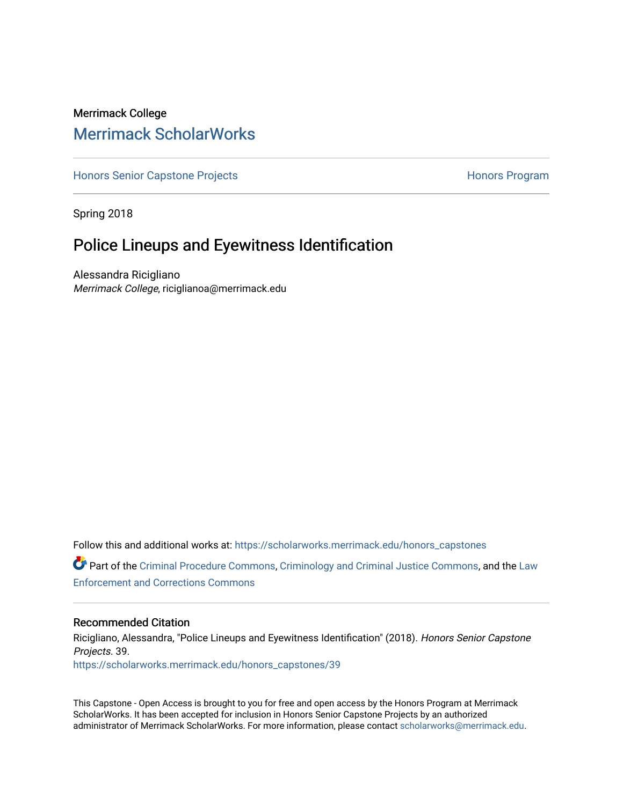# Merrimack College [Merrimack ScholarWorks](https://scholarworks.merrimack.edu/)

[Honors Senior Capstone Projects](https://scholarworks.merrimack.edu/honors_capstones) **Honors Program** Honors Program

Spring 2018

# Police Lineups and Eyewitness Identification

Alessandra Ricigliano Merrimack College, riciglianoa@merrimack.edu

Follow this and additional works at: [https://scholarworks.merrimack.edu/honors\\_capstones](https://scholarworks.merrimack.edu/honors_capstones?utm_source=scholarworks.merrimack.edu%2Fhonors_capstones%2F39&utm_medium=PDF&utm_campaign=PDFCoverPages)

Part of the [Criminal Procedure Commons,](http://network.bepress.com/hgg/discipline/1073?utm_source=scholarworks.merrimack.edu%2Fhonors_capstones%2F39&utm_medium=PDF&utm_campaign=PDFCoverPages) [Criminology and Criminal Justice Commons](http://network.bepress.com/hgg/discipline/367?utm_source=scholarworks.merrimack.edu%2Fhonors_capstones%2F39&utm_medium=PDF&utm_campaign=PDFCoverPages), and the [Law](http://network.bepress.com/hgg/discipline/854?utm_source=scholarworks.merrimack.edu%2Fhonors_capstones%2F39&utm_medium=PDF&utm_campaign=PDFCoverPages)  [Enforcement and Corrections Commons](http://network.bepress.com/hgg/discipline/854?utm_source=scholarworks.merrimack.edu%2Fhonors_capstones%2F39&utm_medium=PDF&utm_campaign=PDFCoverPages) 

#### Recommended Citation

Ricigliano, Alessandra, "Police Lineups and Eyewitness Identification" (2018). Honors Senior Capstone Projects. 39. [https://scholarworks.merrimack.edu/honors\\_capstones/39](https://scholarworks.merrimack.edu/honors_capstones/39?utm_source=scholarworks.merrimack.edu%2Fhonors_capstones%2F39&utm_medium=PDF&utm_campaign=PDFCoverPages) 

This Capstone - Open Access is brought to you for free and open access by the Honors Program at Merrimack ScholarWorks. It has been accepted for inclusion in Honors Senior Capstone Projects by an authorized administrator of Merrimack ScholarWorks. For more information, please contact [scholarworks@merrimack.edu](mailto:scholarworks@merrimack.edu).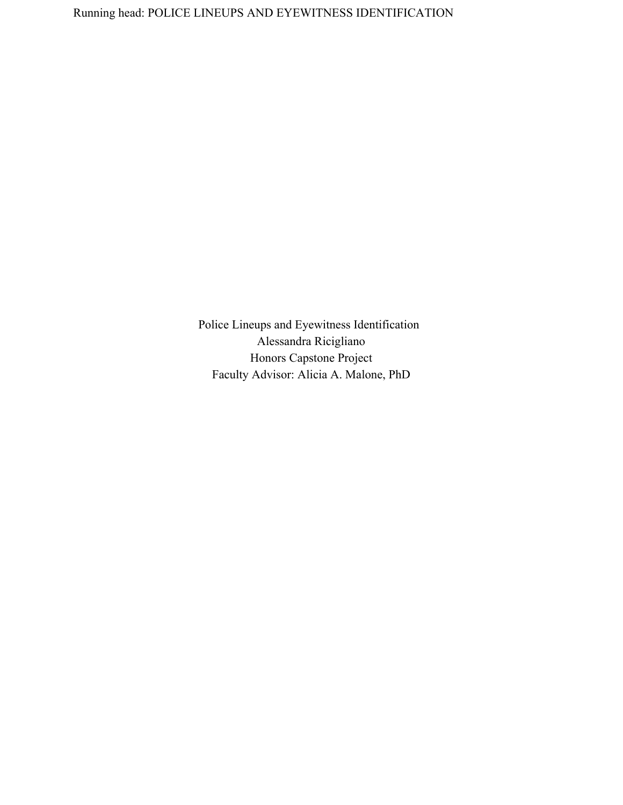Police Lineups and Eyewitness Identification Alessandra Ricigliano Honors Capstone Project Faculty Advisor: Alicia A. Malone, PhD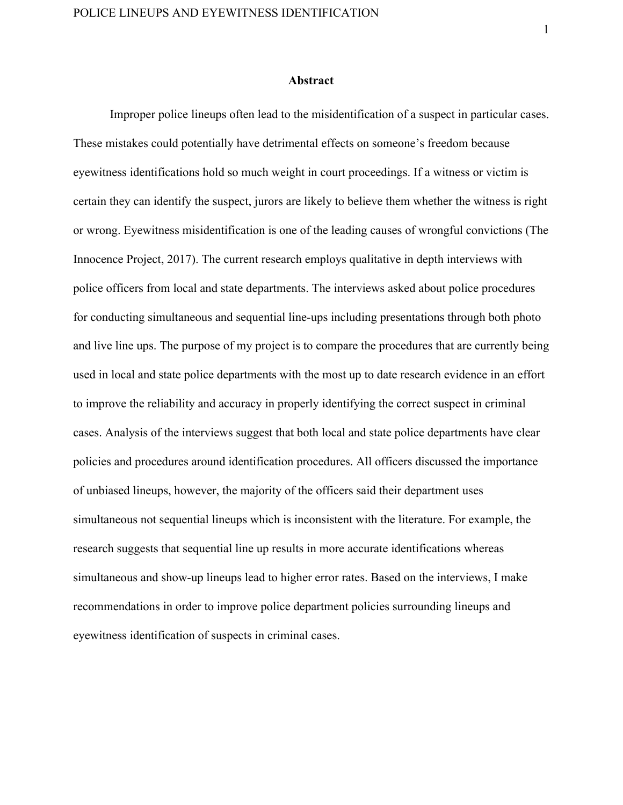### **Abstract**

Improper police lineups often lead to the misidentification of a suspect in particular cases. These mistakes could potentially have detrimental effects on someone's freedom because eyewitness identifications hold so much weight in court proceedings. If a witness or victim is certain they can identify the suspect, jurors are likely to believe them whether the witness is right or wrong. Eyewitness misidentification is one of the leading causes of wrongful convictions (The Innocence Project, 2017). The current research employs qualitative in depth interviews with police officers from local and state departments. The interviews asked about police procedures for conducting simultaneous and sequential line-ups including presentations through both photo and live line ups. The purpose of my project is to compare the procedures that are currently being used in local and state police departments with the most up to date research evidence in an effort to improve the reliability and accuracy in properly identifying the correct suspect in criminal cases. Analysis of the interviews suggest that both local and state police departments have clear policies and procedures around identification procedures. All officers discussed the importance of unbiased lineups, however, the majority of the officers said their department uses simultaneous not sequential lineups which is inconsistent with the literature. For example, the research suggests that sequential line up results in more accurate identifications whereas simultaneous and show-up lineups lead to higher error rates. Based on the interviews, I make recommendations in order to improve police department policies surrounding lineups and eyewitness identification of suspects in criminal cases.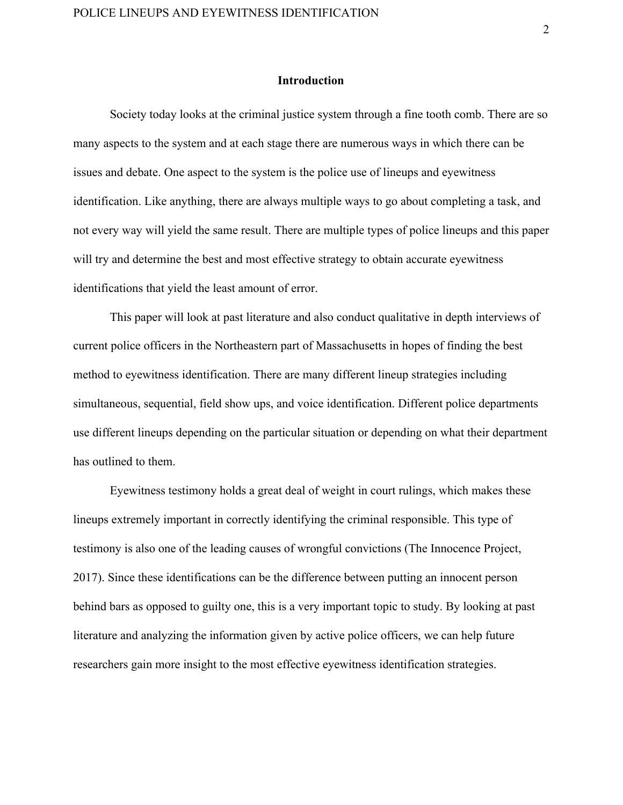#### **Introduction**

Society today looks at the criminal justice system through a fine tooth comb. There are so many aspects to the system and at each stage there are numerous ways in which there can be issues and debate. One aspect to the system is the police use of lineups and eyewitness identification. Like anything, there are always multiple ways to go about completing a task, and not every way will yield the same result. There are multiple types of police lineups and this paper will try and determine the best and most effective strategy to obtain accurate eyewitness identifications that yield the least amount of error.

This paper will look at past literature and also conduct qualitative in depth interviews of current police officers in the Northeastern part of Massachusetts in hopes of finding the best method to eyewitness identification. There are many different lineup strategies including simultaneous, sequential, field show ups, and voice identification. Different police departments use different lineups depending on the particular situation or depending on what their department has outlined to them.

Eyewitness testimony holds a great deal of weight in court rulings, which makes these lineups extremely important in correctly identifying the criminal responsible. This type of testimony is also one of the leading causes of wrongful convictions (The Innocence Project, 2017). Since these identifications can be the difference between putting an innocent person behind bars as opposed to guilty one, this is a very important topic to study. By looking at past literature and analyzing the information given by active police officers, we can help future researchers gain more insight to the most effective eyewitness identification strategies.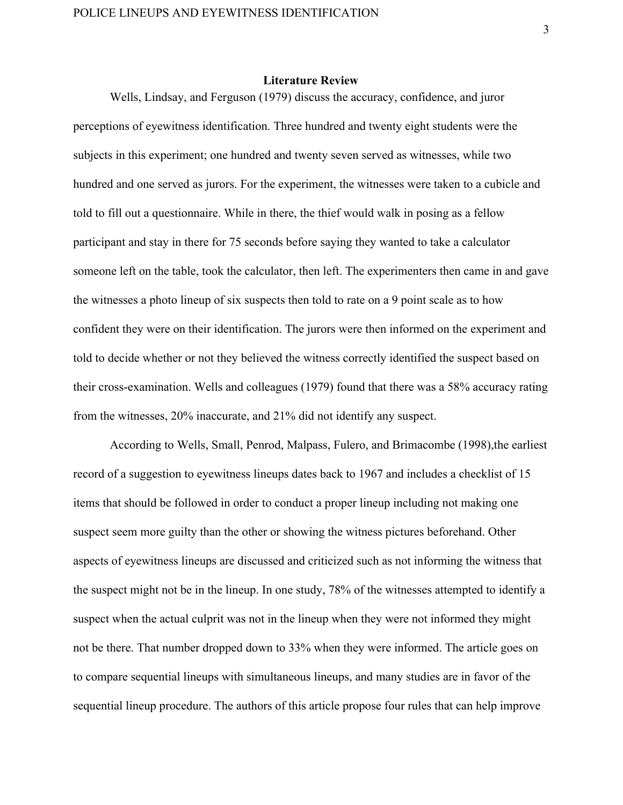## **Literature Review**

Wells, Lindsay, and Ferguson (1979) discuss the accuracy, confidence, and juror perceptions of eyewitness identification. Three hundred and twenty eight students were the subjects in this experiment; one hundred and twenty seven served as witnesses, while two hundred and one served as jurors. For the experiment, the witnesses were taken to a cubicle and told to fill out a questionnaire. While in there, the thief would walk in posing as a fellow participant and stay in there for 75 seconds before saying they wanted to take a calculator someone left on the table, took the calculator, then left. The experimenters then came in and gave the witnesses a photo lineup of six suspects then told to rate on a 9 point scale as to how confident they were on their identification. The jurors were then informed on the experiment and told to decide whether or not they believed the witness correctly identified the suspect based on their cross-examination. Wells and colleagues (1979) found that there was a 58% accuracy rating from the witnesses, 20% inaccurate, and 21% did not identify any suspect.

According to Wells, Small, Penrod, Malpass, Fulero, and Brimacombe (1998),the earliest record of a suggestion to eyewitness lineups dates back to 1967 and includes a checklist of 15 items that should be followed in order to conduct a proper lineup including not making one suspect seem more guilty than the other or showing the witness pictures beforehand. Other aspects of eyewitness lineups are discussed and criticized such as not informing the witness that the suspect might not be in the lineup. In one study, 78% of the witnesses attempted to identify a suspect when the actual culprit was not in the lineup when they were not informed they might not be there. That number dropped down to 33% when they were informed. The article goes on to compare sequential lineups with simultaneous lineups, and many studies are in favor of the sequential lineup procedure. The authors of this article propose four rules that can help improve

3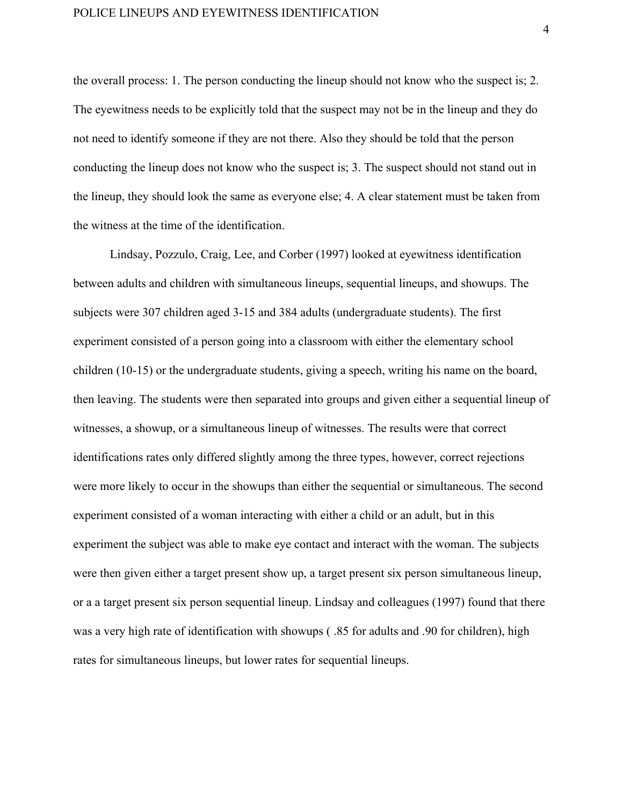the overall process: 1. The person conducting the lineup should not know who the suspect is; 2. The eyewitness needs to be explicitly told that the suspect may not be in the lineup and they do not need to identify someone if they are not there. Also they should be told that the person conducting the lineup does not know who the suspect is; 3. The suspect should not stand out in the lineup, they should look the same as everyone else; 4. A clear statement must be taken from the witness at the time of the identification.

Lindsay, Pozzulo, Craig, Lee, and Corber (1997) looked at eyewitness identification between adults and children with simultaneous lineups, sequential lineups, and showups. The subjects were 307 children aged 3-15 and 384 adults (undergraduate students). The first experiment consisted of a person going into a classroom with either the elementary school children (10-15) or the undergraduate students, giving a speech, writing his name on the board, then leaving. The students were then separated into groups and given either a sequential lineup of witnesses, a showup, or a simultaneous lineup of witnesses. The results were that correct identifications rates only differed slightly among the three types, however, correct rejections were more likely to occur in the showups than either the sequential or simultaneous. The second experiment consisted of a woman interacting with either a child or an adult, but in this experiment the subject was able to make eye contact and interact with the woman. The subjects were then given either a target present show up, a target present six person simultaneous lineup, or a a target present six person sequential lineup. Lindsay and colleagues (1997) found that there was a very high rate of identification with showups ( .85 for adults and .90 for children), high rates for simultaneous lineups, but lower rates for sequential lineups.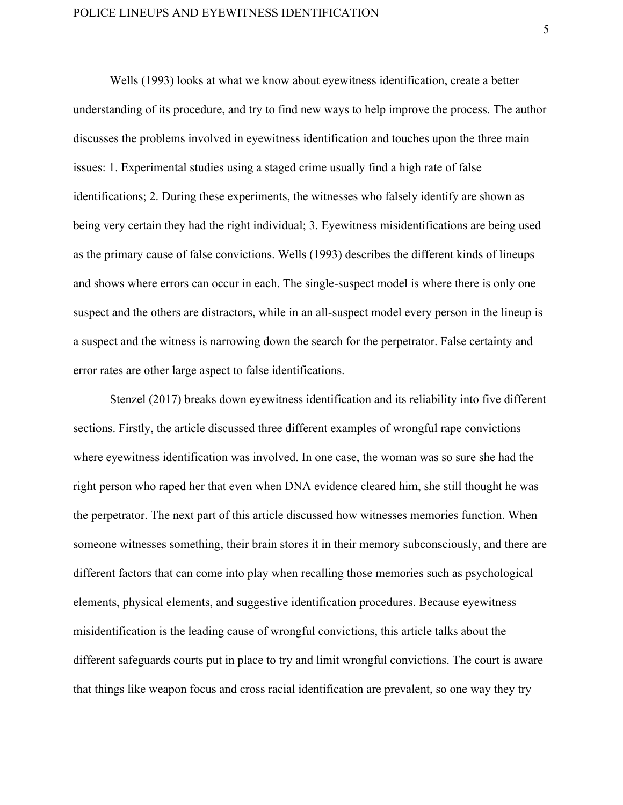Wells (1993) looks at what we know about eyewitness identification, create a better understanding of its procedure, and try to find new ways to help improve the process. The author discusses the problems involved in eyewitness identification and touches upon the three main issues: 1. Experimental studies using a staged crime usually find a high rate of false identifications; 2. During these experiments, the witnesses who falsely identify are shown as being very certain they had the right individual; 3. Eyewitness misidentifications are being used as the primary cause of false convictions. Wells (1993) describes the different kinds of lineups and shows where errors can occur in each. The single-suspect model is where there is only one suspect and the others are distractors, while in an all-suspect model every person in the lineup is a suspect and the witness is narrowing down the search for the perpetrator. False certainty and error rates are other large aspect to false identifications.

Stenzel (2017) breaks down eyewitness identification and its reliability into five different sections. Firstly, the article discussed three different examples of wrongful rape convictions where eyewitness identification was involved. In one case, the woman was so sure she had the right person who raped her that even when DNA evidence cleared him, she still thought he was the perpetrator. The next part of this article discussed how witnesses memories function. When someone witnesses something, their brain stores it in their memory subconsciously, and there are different factors that can come into play when recalling those memories such as psychological elements, physical elements, and suggestive identification procedures. Because eyewitness misidentification is the leading cause of wrongful convictions, this article talks about the different safeguards courts put in place to try and limit wrongful convictions. The court is aware that things like weapon focus and cross racial identification are prevalent, so one way they try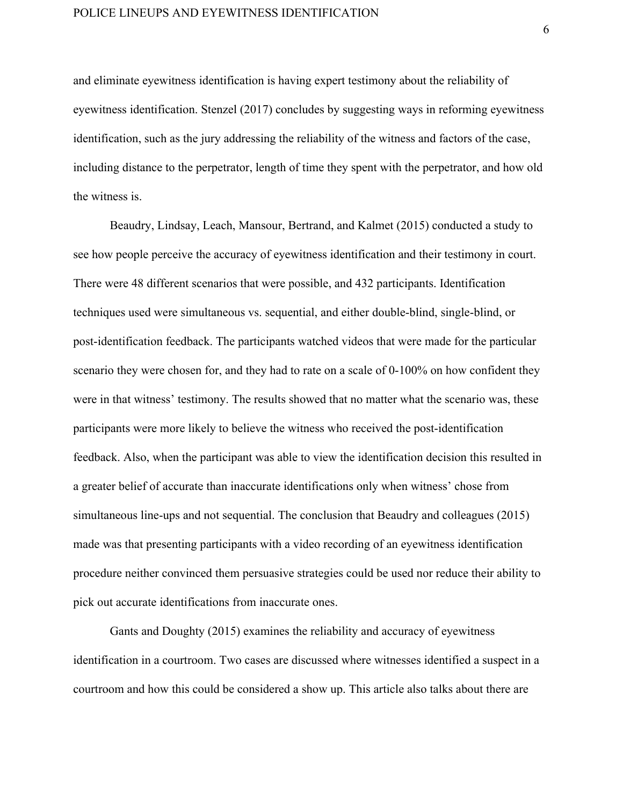## POLICE LINEUPS AND EYEWITNESS IDENTIFICATION

and eliminate eyewitness identification is having expert testimony about the reliability of eyewitness identification. Stenzel (2017) concludes by suggesting ways in reforming eyewitness identification, such as the jury addressing the reliability of the witness and factors of the case, including distance to the perpetrator, length of time they spent with the perpetrator, and how old the witness is.

Beaudry, Lindsay, Leach, Mansour, Bertrand, and Kalmet (2015) conducted a study to see how people perceive the accuracy of eyewitness identification and their testimony in court. There were 48 different scenarios that were possible, and 432 participants. Identification techniques used were simultaneous vs. sequential, and either double-blind, single-blind, or post-identification feedback. The participants watched videos that were made for the particular scenario they were chosen for, and they had to rate on a scale of 0-100% on how confident they were in that witness' testimony. The results showed that no matter what the scenario was, these participants were more likely to believe the witness who received the post-identification feedback. Also, when the participant was able to view the identification decision this resulted in a greater belief of accurate than inaccurate identifications only when witness' chose from simultaneous line-ups and not sequential. The conclusion that Beaudry and colleagues (2015) made was that presenting participants with a video recording of an eyewitness identification procedure neither convinced them persuasive strategies could be used nor reduce their ability to pick out accurate identifications from inaccurate ones.

Gants and Doughty (2015) examines the reliability and accuracy of eyewitness identification in a courtroom. Two cases are discussed where witnesses identified a suspect in a courtroom and how this could be considered a show up. This article also talks about there are

6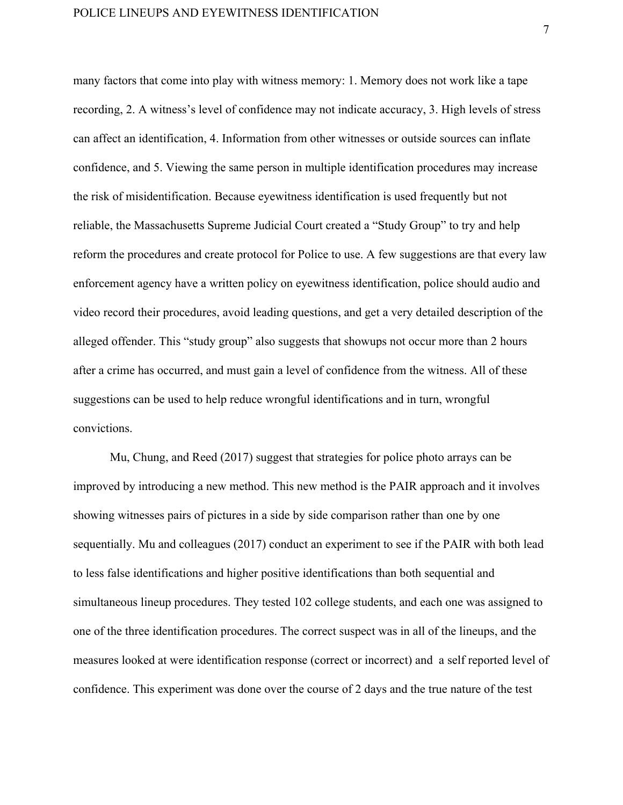many factors that come into play with witness memory: 1. Memory does not work like a tape recording, 2. A witness's level of confidence may not indicate accuracy, 3. High levels of stress can affect an identification, 4. Information from other witnesses or outside sources can inflate confidence, and 5. Viewing the same person in multiple identification procedures may increase the risk of misidentification. Because eyewitness identification is used frequently but not reliable, the Massachusetts Supreme Judicial Court created a "Study Group" to try and help reform the procedures and create protocol for Police to use. A few suggestions are that every law enforcement agency have a written policy on eyewitness identification, police should audio and video record their procedures, avoid leading questions, and get a very detailed description of the alleged offender. This "study group" also suggests that showups not occur more than 2 hours after a crime has occurred, and must gain a level of confidence from the witness. All of these suggestions can be used to help reduce wrongful identifications and in turn, wrongful convictions.

Mu, Chung, and Reed (2017) suggest that strategies for police photo arrays can be improved by introducing a new method. This new method is the PAIR approach and it involves showing witnesses pairs of pictures in a side by side comparison rather than one by one sequentially. Mu and colleagues (2017) conduct an experiment to see if the PAIR with both lead to less false identifications and higher positive identifications than both sequential and simultaneous lineup procedures. They tested 102 college students, and each one was assigned to one of the three identification procedures. The correct suspect was in all of the lineups, and the measures looked at were identification response (correct or incorrect) and a self reported level of confidence. This experiment was done over the course of 2 days and the true nature of the test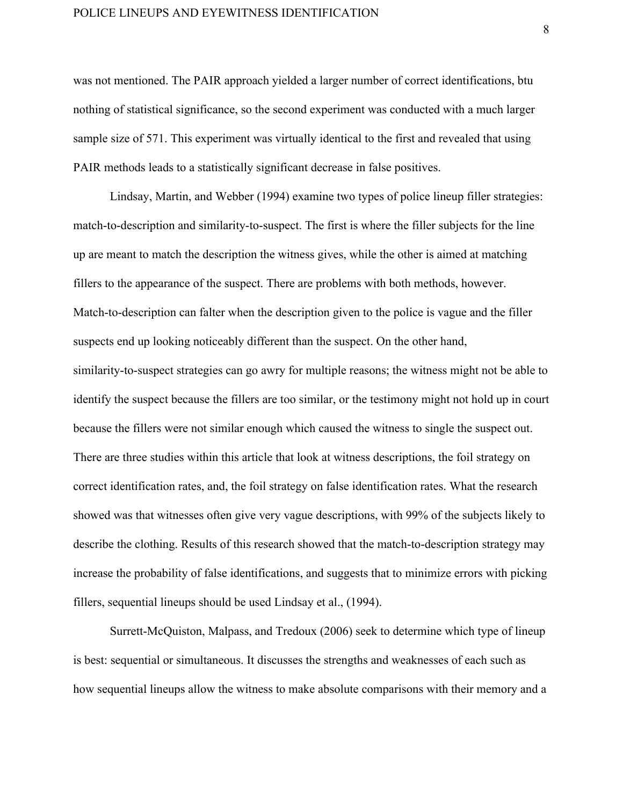## POLICE LINEUPS AND EYEWITNESS IDENTIFICATION

was not mentioned. The PAIR approach yielded a larger number of correct identifications, btu nothing of statistical significance, so the second experiment was conducted with a much larger sample size of 571. This experiment was virtually identical to the first and revealed that using PAIR methods leads to a statistically significant decrease in false positives.

Lindsay, Martin, and Webber (1994) examine two types of police lineup filler strategies: match-to-description and similarity-to-suspect. The first is where the filler subjects for the line up are meant to match the description the witness gives, while the other is aimed at matching fillers to the appearance of the suspect. There are problems with both methods, however. Match-to-description can falter when the description given to the police is vague and the filler suspects end up looking noticeably different than the suspect. On the other hand, similarity-to-suspect strategies can go awry for multiple reasons; the witness might not be able to identify the suspect because the fillers are too similar, or the testimony might not hold up in court because the fillers were not similar enough which caused the witness to single the suspect out. There are three studies within this article that look at witness descriptions, the foil strategy on correct identification rates, and, the foil strategy on false identification rates. What the research showed was that witnesses often give very vague descriptions, with 99% of the subjects likely to describe the clothing. Results of this research showed that the match-to-description strategy may increase the probability of false identifications, and suggests that to minimize errors with picking fillers, sequential lineups should be used Lindsay et al., (1994).

Surrett-McQuiston, Malpass, and Tredoux (2006) seek to determine which type of lineup is best: sequential or simultaneous. It discusses the strengths and weaknesses of each such as how sequential lineups allow the witness to make absolute comparisons with their memory and a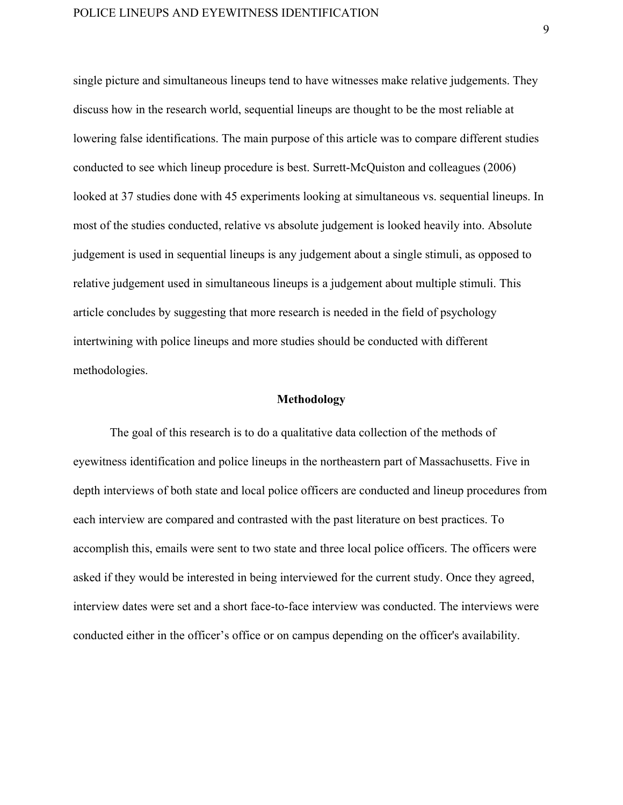single picture and simultaneous lineups tend to have witnesses make relative judgements. They discuss how in the research world, sequential lineups are thought to be the most reliable at lowering false identifications. The main purpose of this article was to compare different studies conducted to see which lineup procedure is best. Surrett-McQuiston and colleagues (2006) looked at 37 studies done with 45 experiments looking at simultaneous vs. sequential lineups. In most of the studies conducted, relative vs absolute judgement is looked heavily into. Absolute judgement is used in sequential lineups is any judgement about a single stimuli, as opposed to relative judgement used in simultaneous lineups is a judgement about multiple stimuli. This article concludes by suggesting that more research is needed in the field of psychology intertwining with police lineups and more studies should be conducted with different methodologies.

## **Methodology**

The goal of this research is to do a qualitative data collection of the methods of eyewitness identification and police lineups in the northeastern part of Massachusetts. Five in depth interviews of both state and local police officers are conducted and lineup procedures from each interview are compared and contrasted with the past literature on best practices. To accomplish this, emails were sent to two state and three local police officers. The officers were asked if they would be interested in being interviewed for the current study. Once they agreed, interview dates were set and a short face-to-face interview was conducted. The interviews were conducted either in the officer's office or on campus depending on the officer's availability.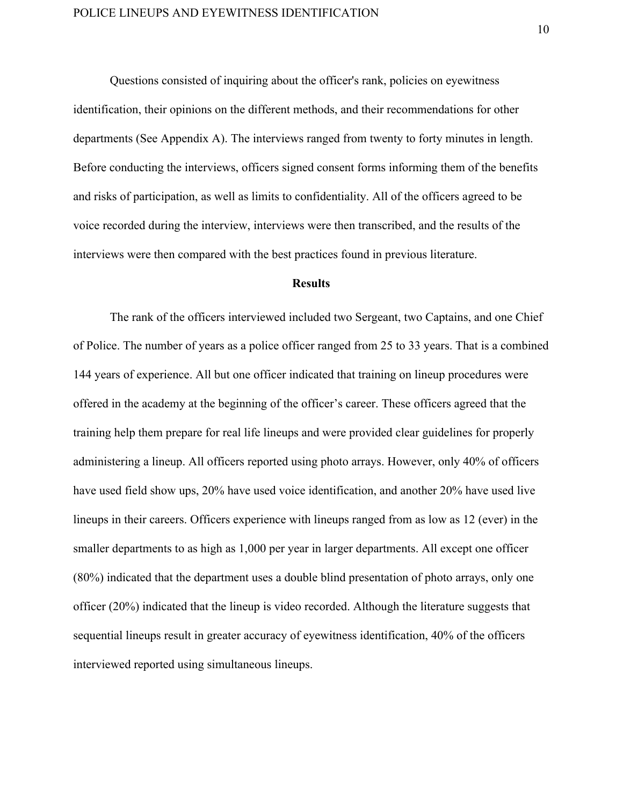Questions consisted of inquiring about the officer's rank, policies on eyewitness identification, their opinions on the different methods, and their recommendations for other departments (See Appendix A). The interviews ranged from twenty to forty minutes in length. Before conducting the interviews, officers signed consent forms informing them of the benefits and risks of participation, as well as limits to confidentiality. All of the officers agreed to be voice recorded during the interview, interviews were then transcribed, and the results of the interviews were then compared with the best practices found in previous literature.

#### **Results**

The rank of the officers interviewed included two Sergeant, two Captains, and one Chief of Police. The number of years as a police officer ranged from 25 to 33 years. That is a combined 144 years of experience. All but one officer indicated that training on lineup procedures were offered in the academy at the beginning of the officer's career. These officers agreed that the training help them prepare for real life lineups and were provided clear guidelines for properly administering a lineup. All officers reported using photo arrays. However, only 40% of officers have used field show ups, 20% have used voice identification, and another 20% have used live lineups in their careers. Officers experience with lineups ranged from as low as 12 (ever) in the smaller departments to as high as 1,000 per year in larger departments. All except one officer (80%) indicated that the department uses a double blind presentation of photo arrays, only one officer (20%) indicated that the lineup is video recorded. Although the literature suggests that sequential lineups result in greater accuracy of eyewitness identification, 40% of the officers interviewed reported using simultaneous lineups.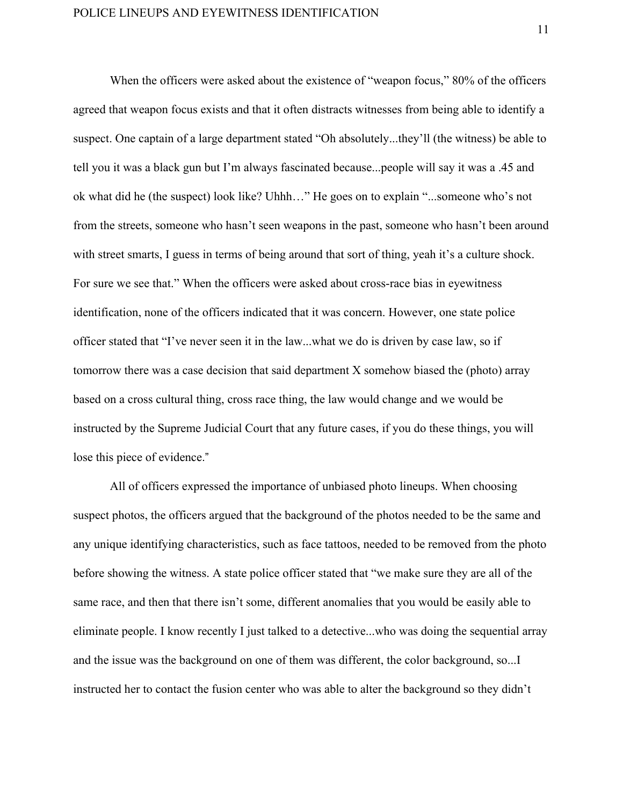When the officers were asked about the existence of "weapon focus," 80% of the officers agreed that weapon focus exists and that it often distracts witnesses from being able to identify a suspect. One captain of a large department stated "Oh absolutely...they'll (the witness) be able to tell you it was a black gun but I'm always fascinated because...people will say it was a .45 and ok what did he (the suspect) look like? Uhhh…" He goes on to explain "...someone who's not from the streets, someone who hasn't seen weapons in the past, someone who hasn't been around with street smarts, I guess in terms of being around that sort of thing, yeah it's a culture shock. For sure we see that." When the officers were asked about cross-race bias in eyewitness identification, none of the officers indicated that it was concern. However, one state police officer stated that "I've never seen it in the law...what we do is driven by case law, so if tomorrow there was a case decision that said department X somehow biased the (photo) array based on a cross cultural thing, cross race thing, the law would change and we would be instructed by the Supreme Judicial Court that any future cases, if you do these things, you will lose this piece of evidence."

All of officers expressed the importance of unbiased photo lineups. When choosing suspect photos, the officers argued that the background of the photos needed to be the same and any unique identifying characteristics, such as face tattoos, needed to be removed from the photo before showing the witness. A state police officer stated that "we make sure they are all of the same race, and then that there isn't some, different anomalies that you would be easily able to eliminate people. I know recently I just talked to a detective...who was doing the sequential array and the issue was the background on one of them was different, the color background, so...I instructed her to contact the fusion center who was able to alter the background so they didn't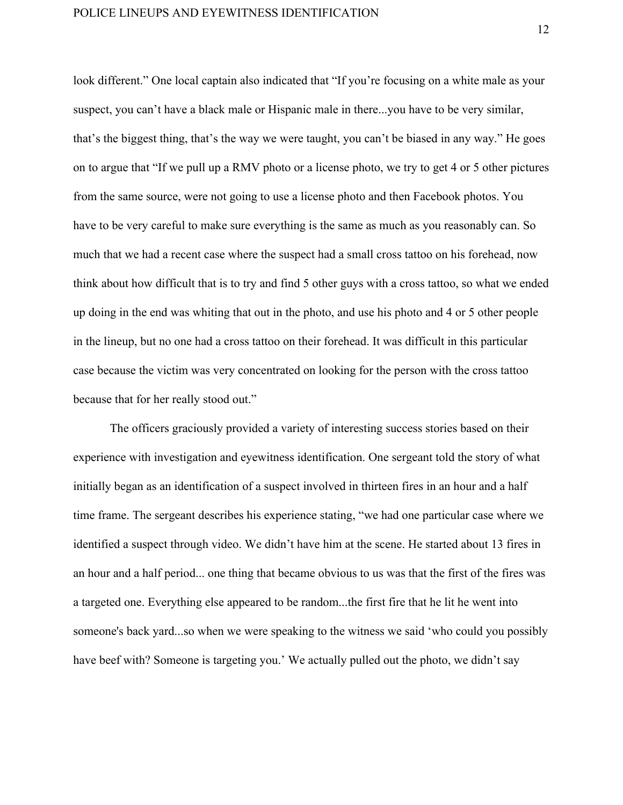look different." One local captain also indicated that "If you're focusing on a white male as your suspect, you can't have a black male or Hispanic male in there...you have to be very similar, that's the biggest thing, that's the way we were taught, you can't be biased in any way." He goes on to argue that "If we pull up a RMV photo or a license photo, we try to get 4 or 5 other pictures from the same source, were not going to use a license photo and then Facebook photos. You have to be very careful to make sure everything is the same as much as you reasonably can. So much that we had a recent case where the suspect had a small cross tattoo on his forehead, now think about how difficult that is to try and find 5 other guys with a cross tattoo, so what we ended up doing in the end was whiting that out in the photo, and use his photo and 4 or 5 other people in the lineup, but no one had a cross tattoo on their forehead. It was difficult in this particular case because the victim was very concentrated on looking for the person with the cross tattoo because that for her really stood out."

The officers graciously provided a variety of interesting success stories based on their experience with investigation and eyewitness identification. One sergeant told the story of what initially began as an identification of a suspect involved in thirteen fires in an hour and a half time frame. The sergeant describes his experience stating, "we had one particular case where we identified a suspect through video. We didn't have him at the scene. He started about 13 fires in an hour and a half period... one thing that became obvious to us was that the first of the fires was a targeted one. Everything else appeared to be random...the first fire that he lit he went into someone's back yard...so when we were speaking to the witness we said 'who could you possibly have beef with? Someone is targeting you.' We actually pulled out the photo, we didn't say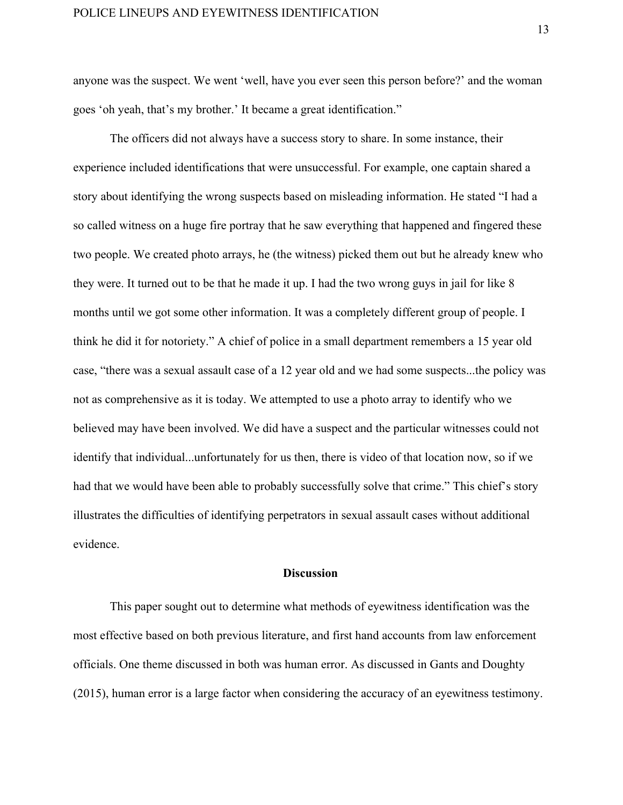anyone was the suspect. We went 'well, have you ever seen this person before?' and the woman goes 'oh yeah, that's my brother.' It became a great identification."

The officers did not always have a success story to share. In some instance, their experience included identifications that were unsuccessful. For example, one captain shared a story about identifying the wrong suspects based on misleading information. He stated "I had a so called witness on a huge fire portray that he saw everything that happened and fingered these two people. We created photo arrays, he (the witness) picked them out but he already knew who they were. It turned out to be that he made it up. I had the two wrong guys in jail for like 8 months until we got some other information. It was a completely different group of people. I think he did it for notoriety." A chief of police in a small department remembers a 15 year old case, "there was a sexual assault case of a 12 year old and we had some suspects...the policy was not as comprehensive as it is today. We attempted to use a photo array to identify who we believed may have been involved. We did have a suspect and the particular witnesses could not identify that individual...unfortunately for us then, there is video of that location now, so if we had that we would have been able to probably successfully solve that crime." This chief's story illustrates the difficulties of identifying perpetrators in sexual assault cases without additional evidence.

## **Discussion**

This paper sought out to determine what methods of eyewitness identification was the most effective based on both previous literature, and first hand accounts from law enforcement officials. One theme discussed in both was human error. As discussed in Gants and Doughty (2015), human error is a large factor when considering the accuracy of an eyewitness testimony.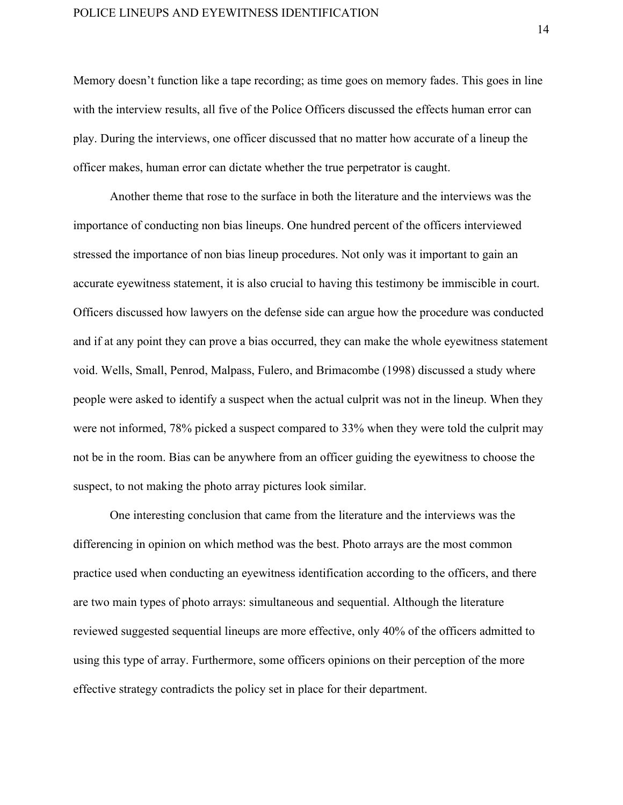## POLICE LINEUPS AND EYEWITNESS IDENTIFICATION

Memory doesn't function like a tape recording; as time goes on memory fades. This goes in line with the interview results, all five of the Police Officers discussed the effects human error can play. During the interviews, one officer discussed that no matter how accurate of a lineup the officer makes, human error can dictate whether the true perpetrator is caught.

Another theme that rose to the surface in both the literature and the interviews was the importance of conducting non bias lineups. One hundred percent of the officers interviewed stressed the importance of non bias lineup procedures. Not only was it important to gain an accurate eyewitness statement, it is also crucial to having this testimony be immiscible in court. Officers discussed how lawyers on the defense side can argue how the procedure was conducted and if at any point they can prove a bias occurred, they can make the whole eyewitness statement void. Wells, Small, Penrod, Malpass, Fulero, and Brimacombe (1998) discussed a study where people were asked to identify a suspect when the actual culprit was not in the lineup. When they were not informed, 78% picked a suspect compared to 33% when they were told the culprit may not be in the room. Bias can be anywhere from an officer guiding the eyewitness to choose the suspect, to not making the photo array pictures look similar.

One interesting conclusion that came from the literature and the interviews was the differencing in opinion on which method was the best. Photo arrays are the most common practice used when conducting an eyewitness identification according to the officers, and there are two main types of photo arrays: simultaneous and sequential. Although the literature reviewed suggested sequential lineups are more effective, only 40% of the officers admitted to using this type of array. Furthermore, some officers opinions on their perception of the more effective strategy contradicts the policy set in place for their department.

14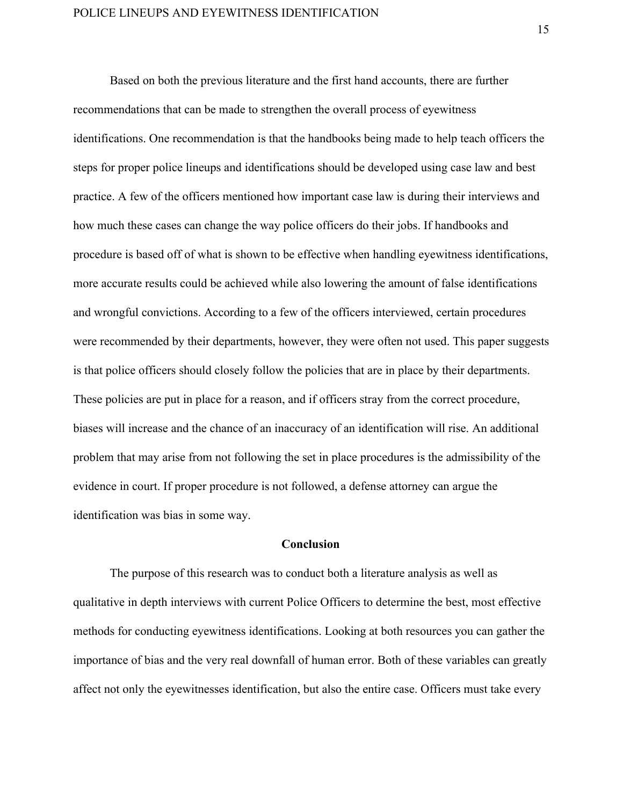Based on both the previous literature and the first hand accounts, there are further recommendations that can be made to strengthen the overall process of eyewitness identifications. One recommendation is that the handbooks being made to help teach officers the steps for proper police lineups and identifications should be developed using case law and best practice. A few of the officers mentioned how important case law is during their interviews and how much these cases can change the way police officers do their jobs. If handbooks and procedure is based off of what is shown to be effective when handling eyewitness identifications, more accurate results could be achieved while also lowering the amount of false identifications and wrongful convictions. According to a few of the officers interviewed, certain procedures were recommended by their departments, however, they were often not used. This paper suggests is that police officers should closely follow the policies that are in place by their departments. These policies are put in place for a reason, and if officers stray from the correct procedure, biases will increase and the chance of an inaccuracy of an identification will rise. An additional problem that may arise from not following the set in place procedures is the admissibility of the evidence in court. If proper procedure is not followed, a defense attorney can argue the identification was bias in some way.

## **Conclusion**

The purpose of this research was to conduct both a literature analysis as well as qualitative in depth interviews with current Police Officers to determine the best, most effective methods for conducting eyewitness identifications. Looking at both resources you can gather the importance of bias and the very real downfall of human error. Both of these variables can greatly affect not only the eyewitnesses identification, but also the entire case. Officers must take every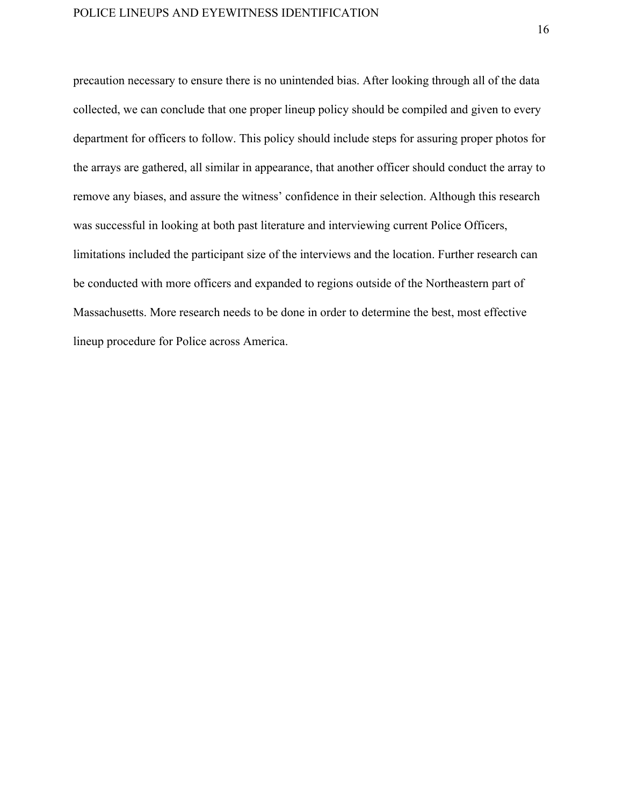precaution necessary to ensure there is no unintended bias. After looking through all of the data collected, we can conclude that one proper lineup policy should be compiled and given to every department for officers to follow. This policy should include steps for assuring proper photos for the arrays are gathered, all similar in appearance, that another officer should conduct the array to remove any biases, and assure the witness' confidence in their selection. Although this research was successful in looking at both past literature and interviewing current Police Officers, limitations included the participant size of the interviews and the location. Further research can be conducted with more officers and expanded to regions outside of the Northeastern part of Massachusetts. More research needs to be done in order to determine the best, most effective lineup procedure for Police across America.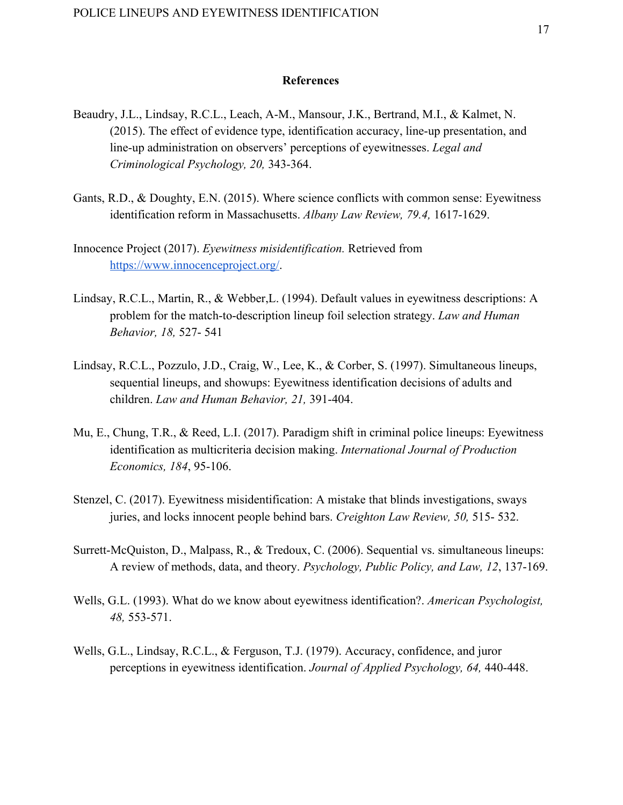## **References**

- Beaudry, J.L., Lindsay, R.C.L., Leach, A-M., Mansour, J.K., Bertrand, M.I., & Kalmet, N. (2015). The effect of evidence type, identification accuracy, line-up presentation, and line-up administration on observers' perceptions of eyewitnesses. *Legal and Criminological Psychology, 20,* 343-364.
- Gants, R.D., & Doughty, E.N. (2015). Where science conflicts with common sense: Eyewitness identification reform in Massachusetts. *Albany Law Review, 79.4,* 1617-1629.
- Innocence Project (2017). *Eyewitness misidentification.* Retrieved from <https://www.innocenceproject.org/>.
- Lindsay, R.C.L., Martin, R., & Webber,L. (1994). Default values in eyewitness descriptions: A problem for the match-to-description lineup foil selection strategy. *Law and Human Behavior, 18,* 527- 541
- Lindsay, R.C.L., Pozzulo, J.D., Craig, W., Lee, K., & Corber, S. (1997). Simultaneous lineups, sequential lineups, and showups: Eyewitness identification decisions of adults and children. *Law and Human Behavior, 21,* 391-404.
- Mu, E., Chung, T.R., & Reed, L.I. (2017). Paradigm shift in criminal police lineups: Eyewitness identification as multicriteria decision making. *International Journal of Production Economics, 184*, 95-106.
- Stenzel, C. (2017). Eyewitness misidentification: A mistake that blinds investigations, sways juries, and locks innocent people behind bars. *Creighton Law Review, 50,* 515- 532.
- Surrett-McQuiston, D., Malpass, R., & Tredoux, C. (2006). Sequential vs. simultaneous lineups: A review of methods, data, and theory. *Psychology, Public Policy, and Law, 12*, 137-169.
- Wells, G.L. (1993). What do we know about eyewitness identification?. *American Psychologist, 48,* 553-571.
- Wells, G.L., Lindsay, R.C.L., & Ferguson, T.J. (1979). Accuracy, confidence, and juror perceptions in eyewitness identification. *Journal of Applied Psychology, 64,* 440-448.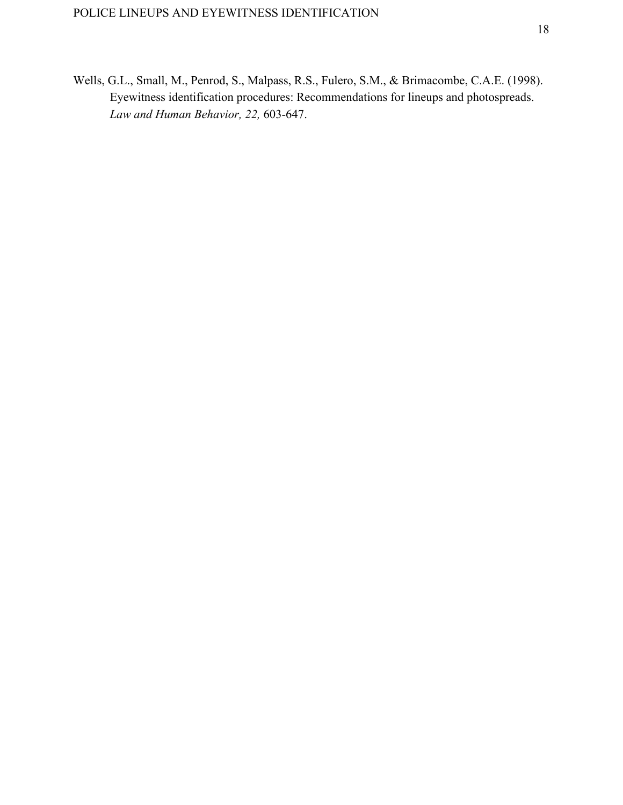Wells, G.L., Small, M., Penrod, S., Malpass, R.S., Fulero, S.M., & Brimacombe, C.A.E. (1998). Eyewitness identification procedures: Recommendations for lineups and photospreads. *Law and Human Behavior, 22,* 603-647.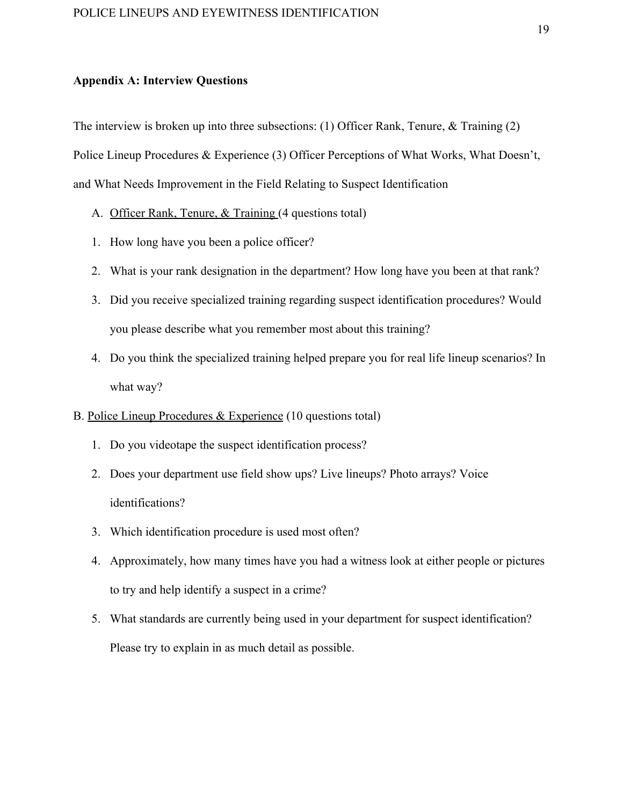## **Appendix A: Interview Questions**

The interview is broken up into three subsections: (1) Officer Rank, Tenure, & Training (2) Police Lineup Procedures & Experience (3) Officer Perceptions of What Works, What Doesn't, and What Needs Improvement in the Field Relating to Suspect Identification

- A. Officer Rank, Tenure, & Training (4 questions total)
- 1. How long have you been a police officer?
- 2. What is your rank designation in the department? How long have you been at that rank?
- 3. Did you receive specialized training regarding suspect identification procedures? Would you please describe what you remember most about this training?
- 4. Do you think the specialized training helped prepare you for real life lineup scenarios? In what way?
- B. Police Lineup Procedures & Experience (10 questions total)
	- 1. Do you videotape the suspect identification process?
	- 2. Does your department use field show ups? Live lineups? Photo arrays? Voice identifications?
	- 3. Which identification procedure is used most often?
	- 4. Approximately, how many times have you had a witness look at either people or pictures to try and help identify a suspect in a crime?
	- 5. What standards are currently being used in your department for suspect identification? Please try to explain in as much detail as possible.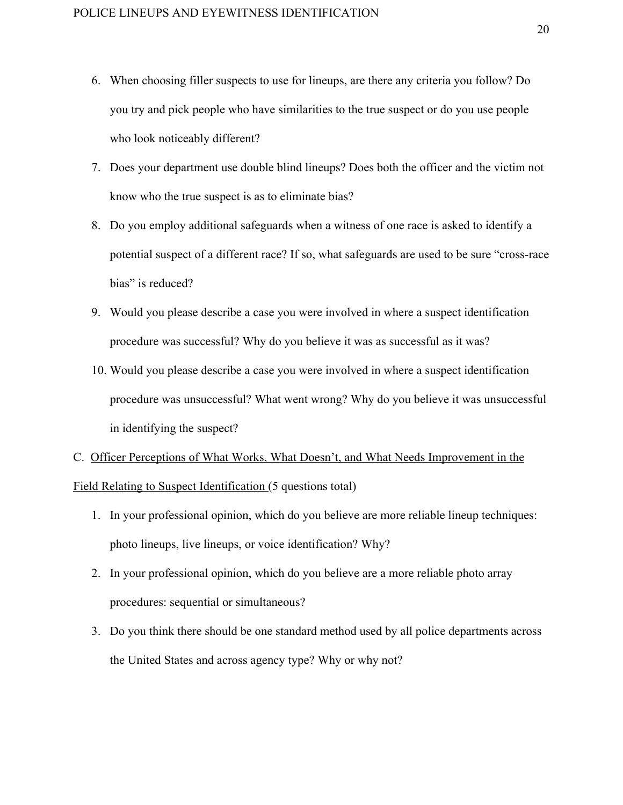- 6. When choosing filler suspects to use for lineups, are there any criteria you follow? Do you try and pick people who have similarities to the true suspect or do you use people who look noticeably different?
- 7. Does your department use double blind lineups? Does both the officer and the victim not know who the true suspect is as to eliminate bias?
- 8. Do you employ additional safeguards when a witness of one race is asked to identify a potential suspect of a different race? If so, what safeguards are used to be sure "cross-race bias" is reduced?
- 9. Would you please describe a case you were involved in where a suspect identification procedure was successful? Why do you believe it was as successful as it was?
- 10. Would you please describe a case you were involved in where a suspect identification procedure was unsuccessful? What went wrong? Why do you believe it was unsuccessful in identifying the suspect?
- C. Officer Perceptions of What Works, What Doesn't, and What Needs Improvement in the Field Relating to Suspect Identification (5 questions total)
	- 1. In your professional opinion, which do you believe are more reliable lineup techniques: photo lineups, live lineups, or voice identification? Why?
	- 2. In your professional opinion, which do you believe are a more reliable photo array procedures: sequential or simultaneous?
	- 3. Do you think there should be one standard method used by all police departments across the United States and across agency type? Why or why not?